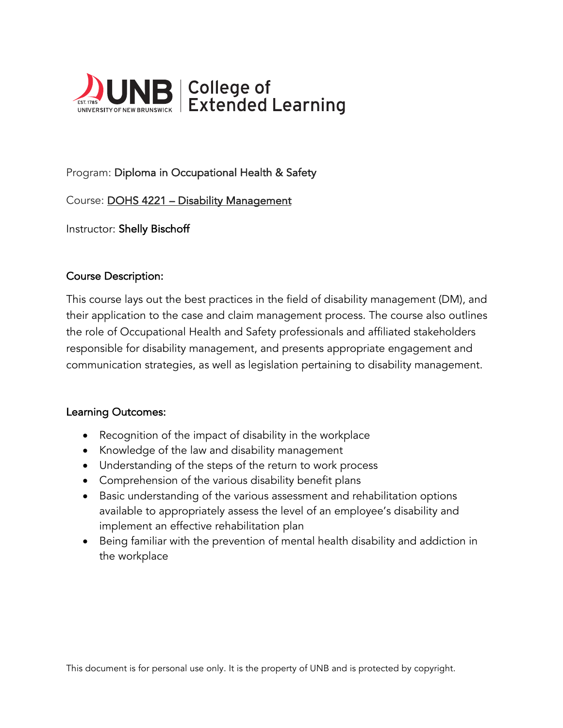

# Program: Diploma in Occupational Health & Safety

Course: DOHS 4221 – Disability Management

Instructor: Shelly Bischoff

#### Course Description:

This course lays out the best practices in the field of disability management (DM), and their application to the case and claim management process. The course also outlines the role of Occupational Health and Safety professionals and affiliated stakeholders responsible for disability management, and presents appropriate engagement and communication strategies, as well as legislation pertaining to disability management.

#### Learning Outcomes:

- Recognition of the impact of disability in the workplace
- Knowledge of the law and disability management
- Understanding of the steps of the return to work process
- Comprehension of the various disability benefit plans
- Basic understanding of the various assessment and rehabilitation options available to appropriately assess the level of an employee's disability and implement an effective rehabilitation plan
- Being familiar with the prevention of mental health disability and addiction in the workplace